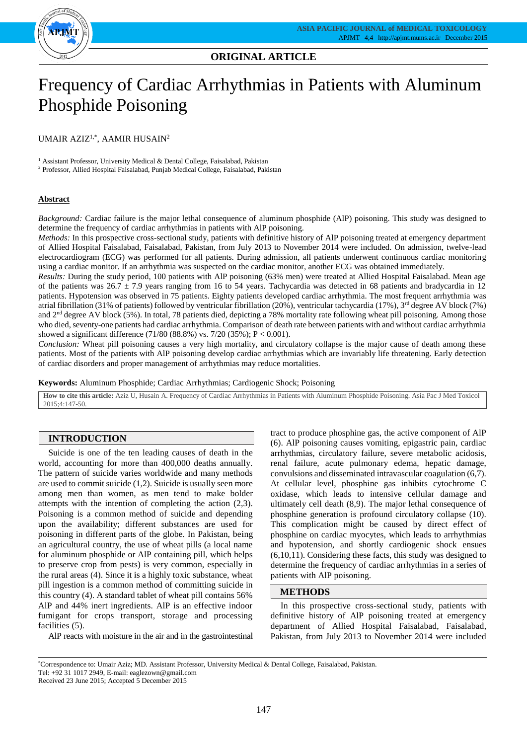

# **ORIGINAL ARTICLE**

# Frequency of Cardiac Arrhythmias in Patients with Aluminum Phosphide Poisoning

UMAIR AZIZ1,\* , AAMIR HUSAIN<sup>2</sup>

<sup>1</sup> Assistant Professor, University Medical & Dental College, Faisalabad, Pakistan

<sup>2</sup> Professor, Allied Hospital Faisalabad, Punjab Medical College, Faisalabad, Pakistan

### **Abstract**

*Background:* Cardiac failure is the major lethal consequence of aluminum phosphide (AlP) poisoning. This study was designed to determine the frequency of cardiac arrhythmias in patients with AlP poisoning.

*Methods:* In this prospective cross-sectional study, patients with definitive history of AlP poisoning treated at emergency department of Allied Hospital Faisalabad, Faisalabad, Pakistan, from July 2013 to November 2014 were included. On admission, twelve-lead electrocardiogram (ECG) was performed for all patients. During admission, all patients underwent continuous cardiac monitoring using a cardiac monitor. If an arrhythmia was suspected on the cardiac monitor, another ECG was obtained immediately.

*Results:* During the study period, 100 patients with AlP poisoning (63% men) were treated at Allied Hospital Faisalabad. Mean age of the patients was  $26.7 \pm 7.9$  years ranging from 16 to 54 years. Tachycardia was detected in 68 patients and bradycardia in 12 patients. Hypotension was observed in 75 patients. Eighty patients developed cardiac arrhythmia. The most frequent arrhythmia was atrial fibrillation (31% of patients) followed by ventricular fibrillation (20%), ventricular tachycardia (17%), 3rd degree AV block (7%) and 2nd degree AV block (5%). In total, 78 patients died, depicting a 78% mortality rate following wheat pill poisoning. Among those who died, seventy-one patients had cardiac arrhythmia. Comparison of death rate between patients with and without cardiac arrhythmia showed a significant difference  $(71/80 (88.8%)$  vs.  $7/20 (35%)$ ; P < 0.001).

*Conclusion:* Wheat pill poisoning causes a very high mortality, and circulatory collapse is the major cause of death among these patients. Most of the patients with AlP poisoning develop cardiac arrhythmias which are invariably life threatening. Early detection of cardiac disorders and proper management of arrhythmias may reduce mortalities.

**Keywords:** Aluminum Phosphide; Cardiac Arrhythmias; Cardiogenic Shock; Poisoning

**How to cite this article:** Aziz U, Husain A. Frequency of Cardiac Arrhythmias in Patients with Aluminum Phosphide Poisoning. Asia Pac J Med Toxicol  $2015:4:147-50$ 

# **INTRODUCTION**

Suicide is one of the ten leading causes of death in the world, accounting for more than 400,000 deaths annually. The pattern of suicide varies worldwide and many methods are used to commit suicide (1,2). Suicide is usually seen more among men than women, as men tend to make bolder attempts with the intention of completing the action (2,3). Poisoning is a common method of suicide and depending upon the availability; different substances are used for poisoning in different parts of the globe. In Pakistan, being an agricultural country, the use of wheat pills (a local name for aluminum phosphide or AlP containing pill, which helps to preserve crop from pests) is very common, especially in the rural areas (4). Since it is a highly toxic substance, wheat pill ingestion is a common method of committing suicide in this country (4). A standard tablet of wheat pill contains 56% AlP and 44% inert ingredients. AlP is an effective indoor fumigant for crops transport, storage and processing facilities (5).

AlP reacts with moisture in the air and in the gastrointestinal

tract to produce phosphine gas, the active component of AlP (6). AlP poisoning causes vomiting, epigastric pain, cardiac arrhythmias, circulatory failure, severe metabolic acidosis, renal failure, acute pulmonary edema, hepatic damage, convulsions and disseminated intravascular coagulation (6,7). At cellular level, phosphine gas inhibits cytochrome C oxidase, which leads to intensive cellular damage and ultimately cell death (8,9). The major lethal consequence of phosphine generation is profound circulatory collapse (10). This complication might be caused by direct effect of phosphine on cardiac myocytes, which leads to arrhythmias and hypotension, and shortly cardiogenic shock ensues (6,10,11). Considering these facts, this study was designed to determine the frequency of cardiac arrhythmias in a series of patients with AlP poisoning.

#### **METHODS**

In this prospective cross-sectional study, patients with definitive history of AlP poisoning treated at emergency department of Allied Hospital Faisalabad, Faisalabad, Pakistan, from July 2013 to November 2014 were included

Tel: +92 31 1017 2949, E-mail: eaglezown@gmail.com

<sup>\*</sup>Correspondence to: Umair Aziz; MD. Assistant Professor, University Medical & Dental College, Faisalabad, Pakistan.

Received 23 June 2015; Accepted 5 December 2015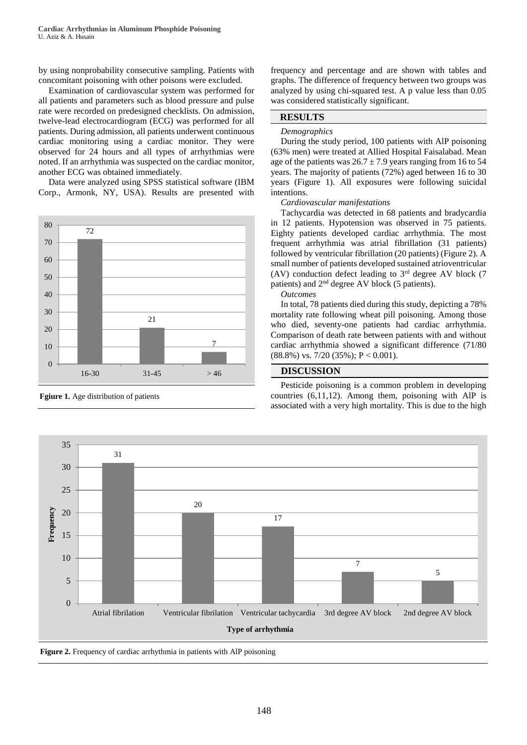by using nonprobability consecutive sampling. Patients with concomitant poisoning with other poisons were excluded.

Examination of cardiovascular system was performed for all patients and parameters such as blood pressure and pulse rate were recorded on predesigned checklists. On admission, twelve-lead electrocardiogram (ECG) was performed for all patients. During admission, all patients underwent continuous cardiac monitoring using a cardiac monitor. They were observed for 24 hours and all types of arrhythmias were noted. If an arrhythmia was suspected on the cardiac monitor, another ECG was obtained immediately.

Data were analyzed using SPSS statistical software (IBM Corp., Armonk, NY, USA). Results are presented with



**Fgiure 1.** Age distribution of patients

frequency and percentage and are shown with tables and graphs. The difference of frequency between two groups was analyzed by using chi-squared test. A p value less than 0.05 was considered statistically significant.

# **RESULTS**

#### *Demographics*

During the study period, 100 patients with AlP poisoning (63% men) were treated at Allied Hospital Faisalabad. Mean age of the patients was  $26.7 \pm 7.9$  years ranging from 16 to 54 years. The majority of patients (72%) aged between 16 to 30 years (Figure 1). All exposures were following suicidal intentions.

# *Cardiovascular manifestations*

Tachycardia was detected in 68 patients and bradycardia in 12 patients. Hypotension was observed in 75 patients. Eighty patients developed cardiac arrhythmia. The most frequent arrhythmia was atrial fibrillation (31 patients) followed by ventricular fibrillation (20 patients) (Figure 2). A small number of patients developed sustained atrioventricular (AV) conduction defect leading to  $3<sup>rd</sup>$  degree AV block (7) patients) and 2nd degree AV block (5 patients).

### *Outcomes*

In total, 78 patients died during this study, depicting a 78% mortality rate following wheat pill poisoning. Among those who died, seventy-one patients had cardiac arrhythmia. Comparison of death rate between patients with and without cardiac arrhythmia showed a significant difference (71/80  $(88.8\%)$  vs. 7/20  $(35\%)$ ; P < 0.001).

# **DISCUSSION**

Pesticide poisoning is a common problem in developing countries (6,11,12). Among them, poisoning with AlP is associated with a very high mortality. This is due to the high



**Figure 2.** Frequency of cardiac arrhythmia in patients with AlP poisoning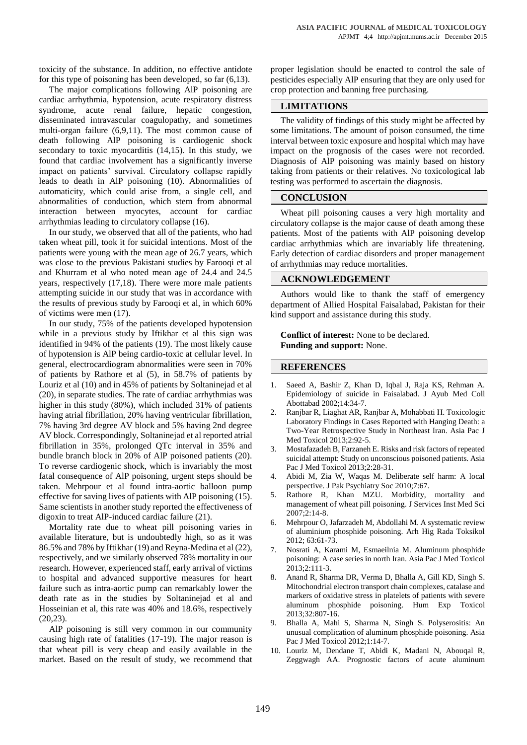toxicity of the substance. In addition, no effective antidote for this type of poisoning has been developed, so far (6,13).

The major complications following AlP poisoning are cardiac arrhythmia, hypotension, acute respiratory distress syndrome, acute renal failure, hepatic congestion, disseminated intravascular coagulopathy, and sometimes multi-organ failure (6,9,11). The most common cause of death following AlP poisoning is cardiogenic shock secondary to toxic myocarditis (14,15). In this study, we found that cardiac involvement has a significantly inverse impact on patients' survival. Circulatory collapse rapidly leads to death in AlP poisoning (10). Abnormalities of automaticity, which could arise from, a single cell, and abnormalities of conduction, which stem from abnormal interaction between myocytes, account for cardiac arrhythmias leading to circulatory collapse (16).

In our study, we observed that all of the patients, who had taken wheat pill, took it for suicidal intentions. Most of the patients were young with the mean age of 26.7 years, which was close to the previous Pakistani studies by Farooqi et al and Khurram et al who noted mean age of 24.4 and 24.5 years, respectively (17,18). There were more male patients attempting suicide in our study that was in accordance with the results of previous study by Farooqi et al, in which 60% of victims were men (17).

In our study, 75% of the patients developed hypotension while in a previous study by Iftikhar et al this sign was identified in 94% of the patients (19). The most likely cause of hypotension is AlP being cardio-toxic at cellular level. In general, electrocardiogram abnormalities were seen in 70% of patients by Rathore et al (5), in 58.7% of patients by Louriz et al (10) and in 45% of patients by Soltaninejad et al (20), in separate studies. The rate of cardiac arrhythmias was higher in this study (80%), which included 31% of patients having atrial fibrillation, 20% having ventricular fibrillation, 7% having 3rd degree AV block and 5% having 2nd degree AV block. Correspondingly, Soltaninejad et al reported atrial fibrillation in 35%, prolonged QTc interval in 35% and bundle branch block in 20% of AlP poisoned patients (20). To reverse cardiogenic shock, which is invariably the most fatal consequence of AlP poisoning, urgent steps should be taken. Mehrpour et al found intra-aortic balloon pump effective for saving lives of patients with AlP poisoning (15). Same scientists in another study reported the effectiveness of digoxin to treat AlP-induced cardiac failure (21).

Mortality rate due to wheat pill poisoning varies in available literature, but is undoubtedly high, so as it was 86.5% and 78% by Iftikhar (19) and Reyna-Medina et al (22), respectively, and we similarly observed 78% mortality in our research. However, experienced staff, early arrival of victims to hospital and advanced supportive measures for heart failure such as intra-aortic pump can remarkably lower the death rate as in the studies by Soltaninejad et al and Hosseinian et al, this rate was 40% and 18.6%, respectively (20,23).

AlP poisoning is still very common in our community causing high rate of fatalities (17-19). The major reason is that wheat pill is very cheap and easily available in the market. Based on the result of study, we recommend that

proper legislation should be enacted to control the sale of pesticides especially AlP ensuring that they are only used for crop protection and banning free purchasing.

# **LIMITATIONS**

The validity of findings of this study might be affected by some limitations. The amount of poison consumed, the time interval between toxic exposure and hospital which may have impact on the prognosis of the cases were not recorded. Diagnosis of AlP poisoning was mainly based on history taking from patients or their relatives. No toxicological lab testing was performed to ascertain the diagnosis.

#### **CONCLUSION**

Wheat pill poisoning causes a very high mortality and circulatory collapse is the major cause of death among these patients. Most of the patients with AlP poisoning develop cardiac arrhythmias which are invariably life threatening. Early detection of cardiac disorders and proper management of arrhythmias may reduce mortalities.

#### **ACKNOWLEDGEMENT**

Authors would like to thank the staff of emergency department of Allied Hospital Faisalabad, Pakistan for their kind support and assistance during this study.

**Conflict of interest:** None to be declared. **Funding and support:** None.

#### **REFERENCES**

- 1. Saeed A, Bashir Z, Khan D, Iqbal J, Raja KS, Rehman A. Epidemiology of suicide in Faisalabad. J Ayub Med Coll Abottabad 2002;14:34-7.
- 2. Ranjbar R, Liaghat AR, Ranjbar A, Mohabbati H. Toxicologic Laboratory Findings in Cases Reported with Hanging Death: a Two-Year Retrospective Study in Northeast Iran. Asia Pac J Med Toxicol 2013;2:92-5.
- 3. Mostafazadeh B, Farzaneh E. Risks and risk factors of repeated suicidal attempt: Study on unconscious poisoned patients. Asia Pac J Med Toxicol 2013;2:28-31.
- 4. Abidi M, Zia W, Waqas M. Deliberate self harm: A local perspective. J Pak Psychiatry Soc 2010;7:67.
- 5. Rathore R, Khan MZU. Morbidity, mortality and management of wheat pill poisoning. J Services Inst Med Sci 2007;2:14-8.
- 6. Mehrpour O, Jafarzadeh M, Abdollahi M. A systematic review of aluminium phosphide poisoning. Arh Hig Rada Toksikol 2012; 63:61-73.
- 7. Nosrati A, Karami M, Esmaeilnia M. Aluminum phosphide poisoning: A case series in north Iran. Asia Pac J Med Toxicol 2013;2:111-3.
- 8. Anand R, Sharma DR, Verma D, Bhalla A, Gill KD, Singh S. Mitochondrial electron transport chain complexes, catalase and markers of oxidative stress in platelets of patients with severe aluminum phosphide poisoning. Hum Exp Toxicol 2013;32:807-16.
- 9. Bhalla A, Mahi S, Sharma N, Singh S. Polyserositis: An unusual complication of aluminum phosphide poisoning. Asia Pac J Med Toxicol 2012;1:14-7.
- 10. Louriz M, Dendane T, Abidi K, Madani N, Abouqal R, Zeggwagh AA. Prognostic factors of acute aluminum